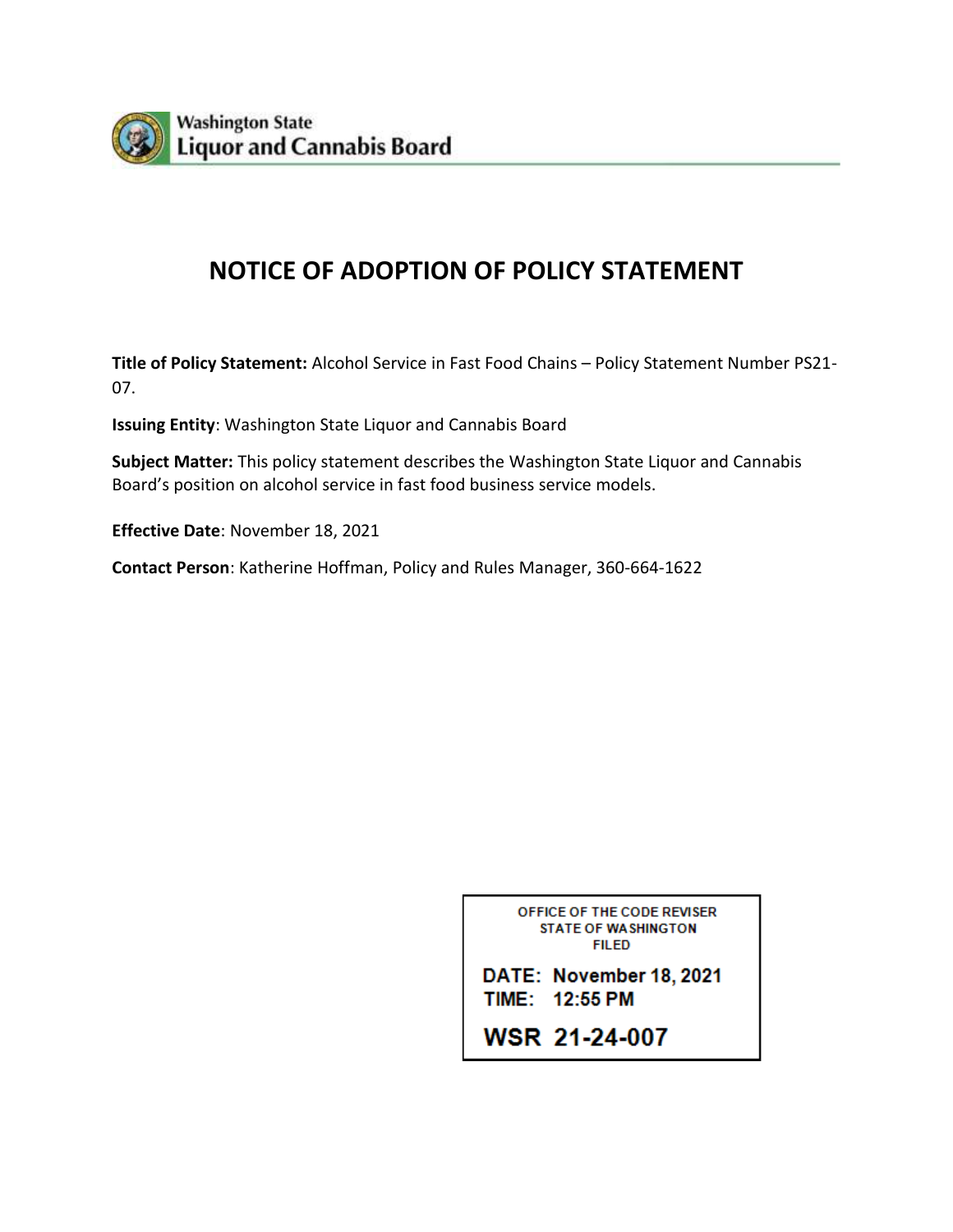

# **NOTICE OF ADOPTION OF POLICY STATEMENT**

**Title of Policy Statement:** Alcohol Service in Fast Food Chains – Policy Statement Number PS21- 07.

**Issuing Entity**: Washington State Liquor and Cannabis Board

**Subject Matter:** This policy statement describes the Washington State Liquor and Cannabis Board's position on alcohol service in fast food business service models.

**Effective Date**: November 18, 2021

**Contact Person**: Katherine Hoffman, Policy and Rules Manager, 360-664-1622

OFFICE OF THE CODE REVISER **STATE OF WASHINGTON FILED** 

DATE: November 18, 2021 TIME: 12:55 PM

**WSR 21-24-007**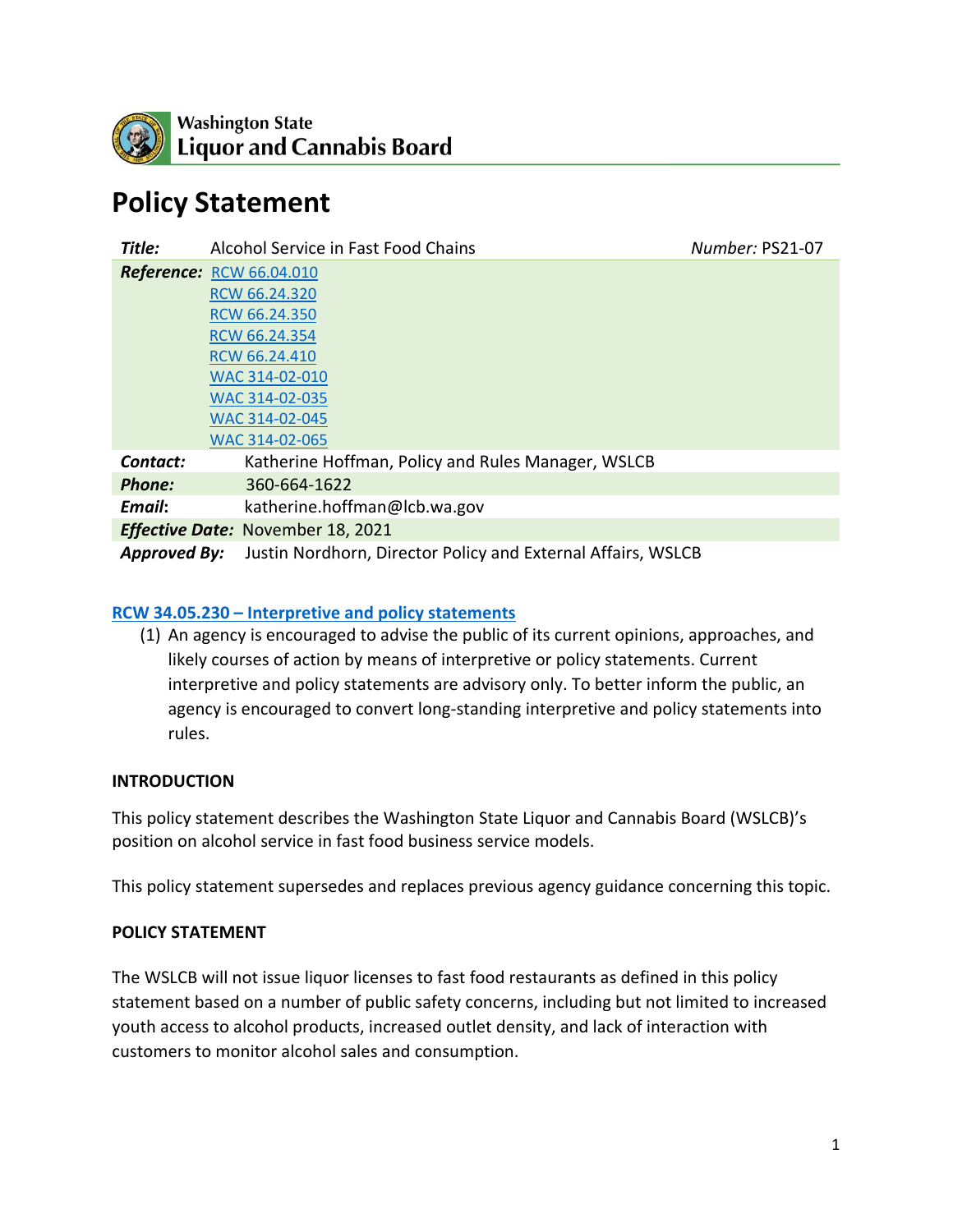

# **Policy Statement**

| Title:                                   | Alcohol Service in Fast Food Chains                          | Number: PS21-07 |
|------------------------------------------|--------------------------------------------------------------|-----------------|
|                                          | <b>Reference: RCW 66.04.010</b>                              |                 |
|                                          | RCW 66.24.320                                                |                 |
|                                          | RCW 66.24.350                                                |                 |
|                                          | RCW 66.24.354                                                |                 |
|                                          | RCW 66.24.410                                                |                 |
|                                          | WAC 314-02-010                                               |                 |
|                                          | WAC 314-02-035                                               |                 |
|                                          | WAC 314-02-045                                               |                 |
|                                          | WAC 314-02-065                                               |                 |
| Contact:                                 | Katherine Hoffman, Policy and Rules Manager, WSLCB           |                 |
| Phone:                                   | 360-664-1622                                                 |                 |
| Email:                                   | katherine.hoffman@lcb.wa.gov                                 |                 |
| <b>Effective Date: November 18, 2021</b> |                                                              |                 |
| <b>Approved By:</b>                      | Justin Nordhorn, Director Policy and External Affairs, WSLCB |                 |

#### **RCW 34.05.230 – [Interpretive and policy statements](https://app.leg.wa.gov/rcw/default.aspx?cite=34.05.230)**

(1) An agency is encouraged to advise the public of its current opinions, approaches, and likely courses of action by means of interpretive or policy statements. Current interpretive and policy statements are advisory only. To better inform the public, an agency is encouraged to convert long-standing interpretive and policy statements into rules.

#### **INTRODUCTION**

This policy statement describes the Washington State Liquor and Cannabis Board (WSLCB)'s position on alcohol service in fast food business service models.

This policy statement supersedes and replaces previous agency guidance concerning this topic.

#### **POLICY STATEMENT**

The WSLCB will not issue liquor licenses to fast food restaurants as defined in this policy statement based on a number of public safety concerns, including but not limited to increased youth access to alcohol products, increased outlet density, and lack of interaction with customers to monitor alcohol sales and consumption.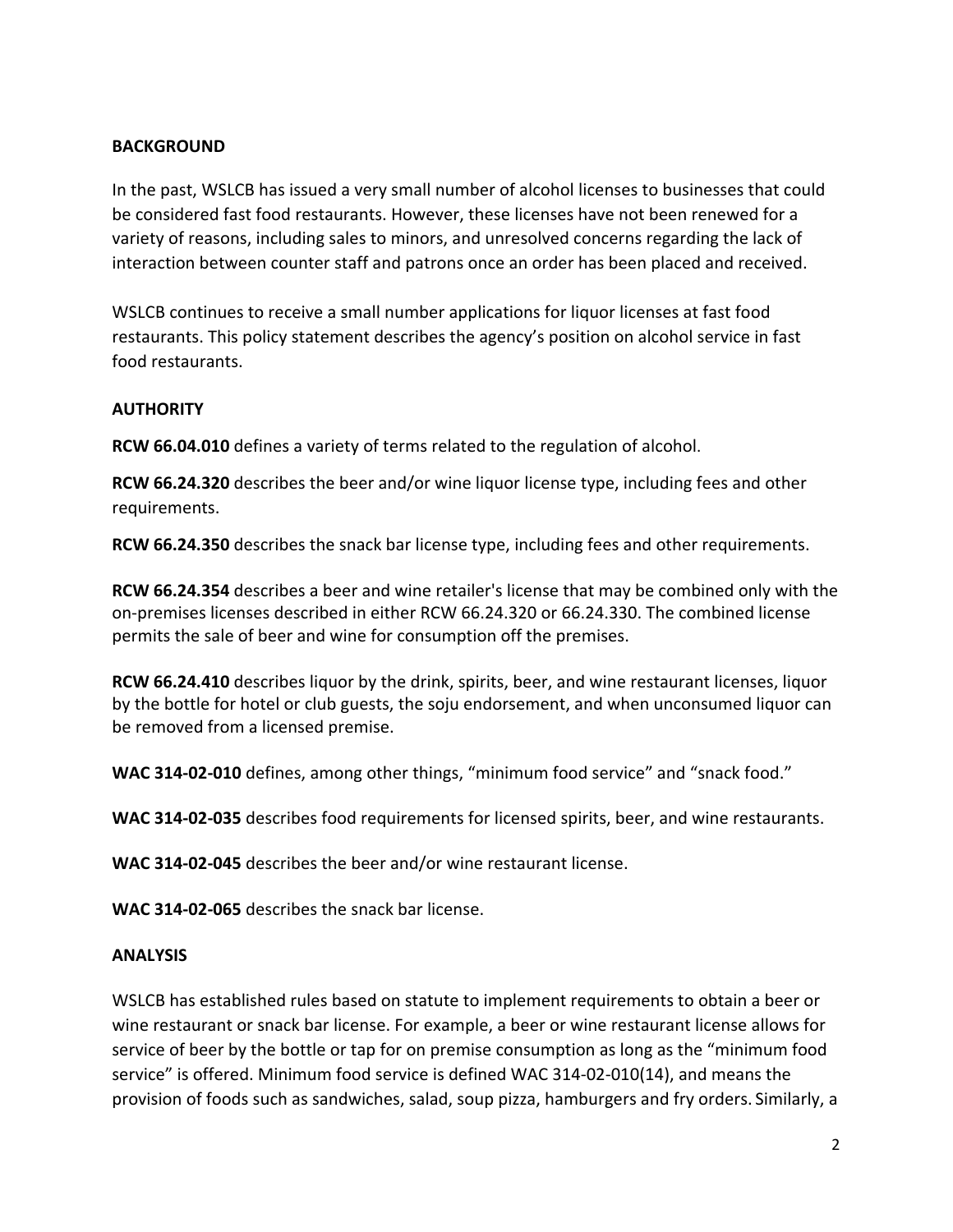#### **BACKGROUND**

In the past, WSLCB has issued a very small number of alcohol licenses to businesses that could be considered fast food restaurants. However, these licenses have not been renewed for a variety of reasons, including sales to minors, and unresolved concerns regarding the lack of interaction between counter staff and patrons once an order has been placed and received.

WSLCB continues to receive a small number applications for liquor licenses at fast food restaurants. This policy statement describes the agency's position on alcohol service in fast food restaurants.

#### **AUTHORITY**

**RCW 66.04.010** defines a variety of terms related to the regulation of alcohol.

**RCW 66.24.320** describes the beer and/or wine liquor license type, including fees and other requirements.

**RCW 66.24.350** describes the snack bar license type, including fees and other requirements.

**RCW 66.24.354** describes a beer and wine retailer's license that may be combined only with the on-premises licenses described in either RCW 66.24.320 or 66.24.330. The combined license permits the sale of beer and wine for consumption off the premises.

**RCW 66.24.410** describes liquor by the drink, spirits, beer, and wine restaurant licenses, liquor by the bottle for hotel or club guests, the soju endorsement, and when unconsumed liquor can be removed from a licensed premise.

**WAC 314-02-010** defines, among other things, "minimum food service" and "snack food."

**WAC 314-02-035** describes food requirements for licensed spirits, beer, and wine restaurants.

**WAC 314-02-045** describes the beer and/or wine restaurant license.

**WAC 314-02-065** describes the snack bar license.

#### **ANALYSIS**

WSLCB has established rules based on statute to implement requirements to obtain a beer or wine restaurant or snack bar license. For example, a beer or wine restaurant license allows for service of beer by the bottle or tap for on premise consumption as long as the "minimum food service" is offered. Minimum food service is defined WAC 314-02-010(14), and means the provision of foods such as sandwiches, salad, soup pizza, hamburgers and fry orders. Similarly, a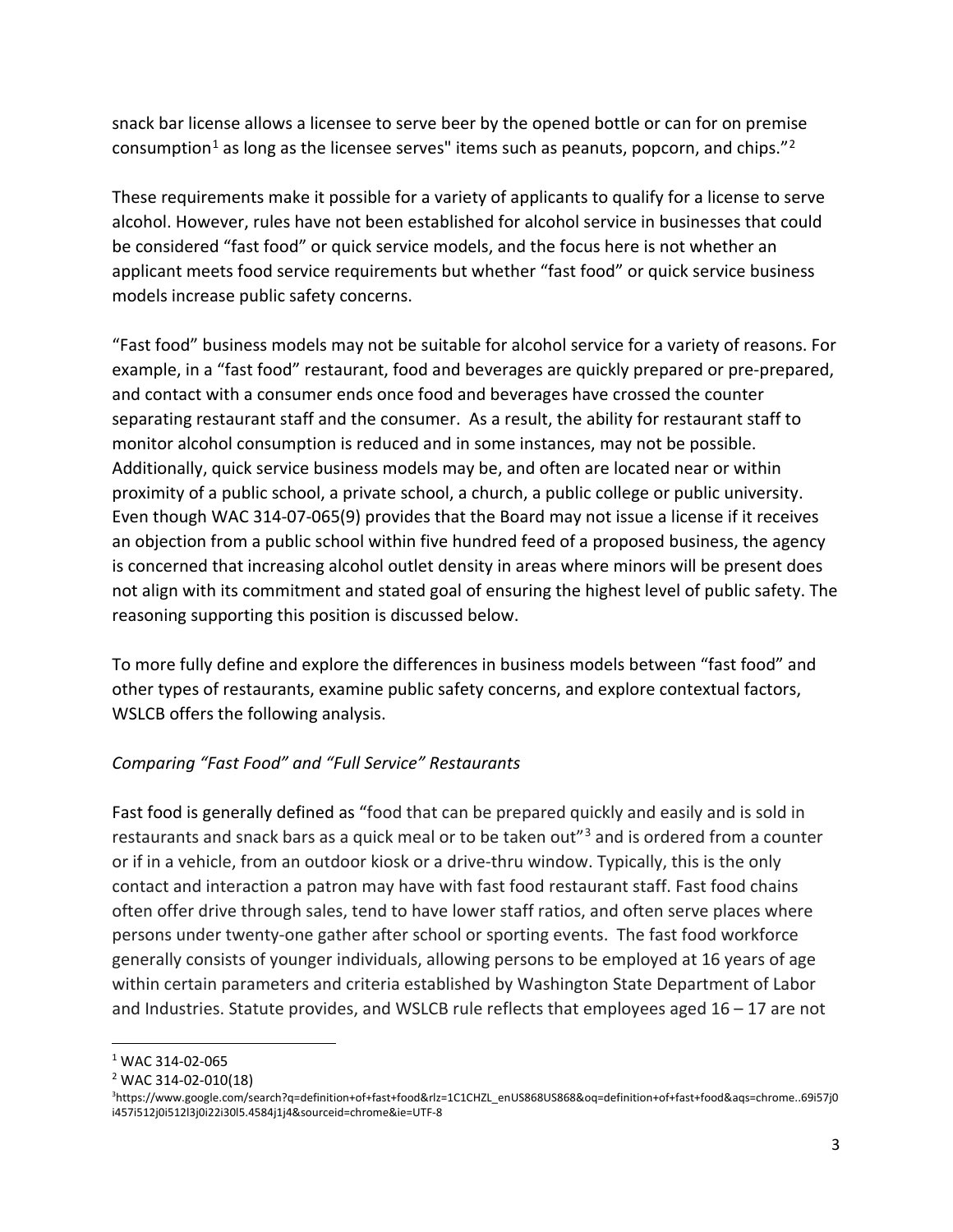snack bar license allows a licensee to serve beer by the opened bottle or can for on premise consumption<sup>[1](#page-3-0)</sup> as long as the licensee serves" items such as peanuts, popcorn, and chips."<sup>[2](#page-3-1)</sup>

These requirements make it possible for a variety of applicants to qualify for a license to serve alcohol. However, rules have not been established for alcohol service in businesses that could be considered "fast food" or quick service models, and the focus here is not whether an applicant meets food service requirements but whether "fast food" or quick service business models increase public safety concerns.

"Fast food" business models may not be suitable for alcohol service for a variety of reasons. For example, in a "fast food" restaurant, food and beverages are quickly prepared or pre-prepared, and contact with a consumer ends once food and beverages have crossed the counter separating restaurant staff and the consumer. As a result, the ability for restaurant staff to monitor alcohol consumption is reduced and in some instances, may not be possible. Additionally, quick service business models may be, and often are located near or within proximity of a public school, a private school, a church, a public college or public university. Even though WAC 314-07-065(9) provides that the Board may not issue a license if it receives an objection from a public school within five hundred feed of a proposed business, the agency is concerned that increasing alcohol outlet density in areas where minors will be present does not align with its commitment and stated goal of ensuring the highest level of public safety. The reasoning supporting this position is discussed below.

To more fully define and explore the differences in business models between "fast food" and other types of restaurants, examine public safety concerns, and explore contextual factors, WSLCB offers the following analysis.

## *Comparing "Fast Food" and "Full Service" Restaurants*

Fast food is generally defined as "food that can be prepared quickly and easily and is sold in restaurants and snack bars as a quick meal or to be taken out"<sup>[3](#page-3-2)</sup> and is ordered from a counter or if in a vehicle, from an outdoor kiosk or a drive-thru window. Typically, this is the only contact and interaction a patron may have with fast food restaurant staff. Fast food chains often offer drive through sales, tend to have lower staff ratios, and often serve places where persons under twenty-one gather after school or sporting events. The fast food workforce generally consists of younger individuals, allowing persons to be employed at 16 years of age within certain parameters and criteria established by Washington State Department of Labor and Industries. Statute provides, and WSLCB rule reflects that employees aged 16 – 17 are not

<span id="page-3-0"></span> <sup>1</sup> WAC 314-02-065

<span id="page-3-1"></span><sup>2</sup> WAC 314-02-010(18)

<span id="page-3-2"></span><sup>3</sup> https://www.google.com/search?q=definition+of+fast+food&rlz=1C1CHZL\_enUS868US868&oq=definition+of+fast+food&aqs=chrome..69i57j0 i457i512j0i512l3j0i22i30l5.4584j1j4&sourceid=chrome&ie=UTF-8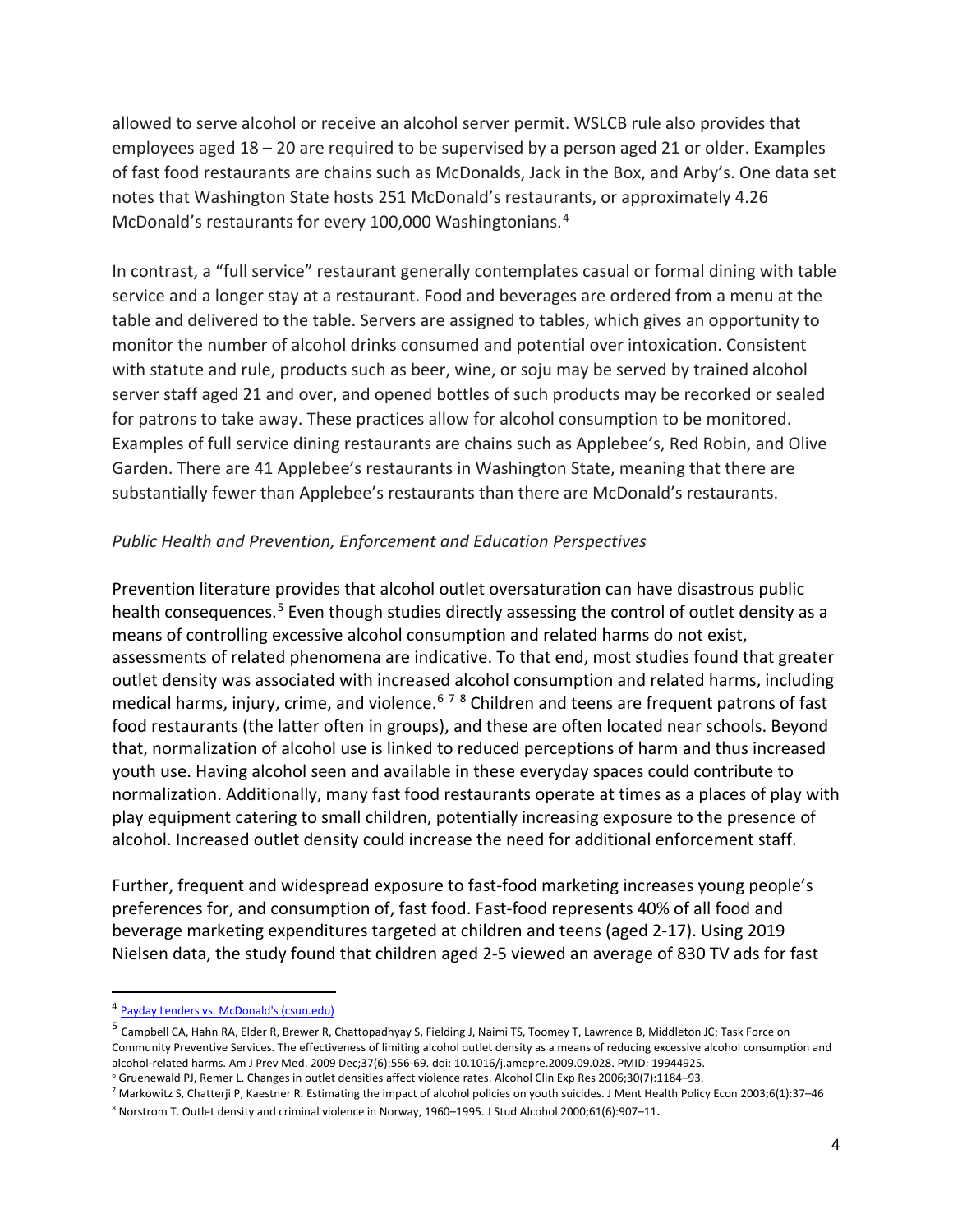allowed to serve alcohol or receive an alcohol server permit. WSLCB rule also provides that employees aged 18 – 20 are required to be supervised by a person aged 21 or older. Examples of fast food restaurants are chains such as McDonalds, Jack in the Box, and Arby's. One data set notes that Washington State hosts 251 McDonald's restaurants, or approximately 4.26 McDonald's restaurants for every 100,000 Washingtonians.<sup>[4](#page-4-0)</sup>

In contrast, a "full service" restaurant generally contemplates casual or formal dining with table service and a longer stay at a restaurant. Food and beverages are ordered from a menu at the table and delivered to the table. Servers are assigned to tables, which gives an opportunity to monitor the number of alcohol drinks consumed and potential over intoxication. Consistent with statute and rule, products such as beer, wine, or soju may be served by trained alcohol server staff aged 21 and over, and opened bottles of such products may be recorked or sealed for patrons to take away. These practices allow for alcohol consumption to be monitored. Examples of full service dining restaurants are chains such as Applebee's, Red Robin, and Olive Garden. There are 41 Applebee's restaurants in Washington State, meaning that there are substantially fewer than Applebee's restaurants than there are McDonald's restaurants.

#### *Public Health and Prevention, Enforcement and Education Perspectives*

Prevention literature provides that alcohol outlet oversaturation can have disastrous public health consequences.<sup>[5](#page-4-1)</sup> Even though studies directly assessing the control of outlet density as a means of controlling excessive alcohol consumption and related harms do not exist, assessments of related phenomena are indicative. To that end, most studies found that greater outlet density was associated with increased alcohol consumption and related harms, including medical harms, injury, crime, and violence.<sup>[6](#page-4-2)[7](#page-4-3)[8](#page-4-4)</sup> Children and teens are frequent patrons of fast food restaurants (the latter often in groups), and these are often located near schools. Beyond that, normalization of alcohol use is linked to reduced perceptions of harm and thus increased youth use. Having alcohol seen and available in these everyday spaces could contribute to normalization. Additionally, many fast food restaurants operate at times as a places of play with play equipment catering to small children, potentially increasing exposure to the presence of alcohol. Increased outlet density could increase the need for additional enforcement staff.

Further, frequent and widespread exposure to fast-food marketing increases young people's preferences for, and consumption of, fast food. Fast-food represents 40% of all food and beverage marketing expenditures targeted at children and teens (aged 2-17). Using 2019 Nielsen data, the study found that children aged 2-5 viewed an average of 830 TV ads for fast

<span id="page-4-0"></span> <sup>4</sup> [Payday Lenders vs. McDonald's \(csun.edu\)](https://www.csun.edu/%7Esg4002/research/mcdonalds_by_state.htm)

<span id="page-4-1"></span><sup>5</sup> Campbell CA, Hahn RA, Elder R, Brewer R, Chattopadhyay S, Fielding J, Naimi TS, Toomey T, Lawrence B, Middleton JC; Task Force on Community Preventive Services. The effectiveness of limiting alcohol outlet density as a means of reducing excessive alcohol consumption and alcohol-related harms. Am J Prev Med. 2009 Dec;37(6):556-69. doi: 10.1016/j.amepre.2009.09.028. PMID: 19944925.

<span id="page-4-2"></span><sup>6</sup> Gruenewald PJ, Remer L. Changes in outlet densities affect violence rates. Alcohol Clin Exp Res 2006;30(7):1184–93.

<span id="page-4-3"></span><sup>&</sup>lt;sup>7</sup> Markowitz S, Chatterji P, Kaestner R. Estimating the impact of alcohol policies on youth suicides. J Ment Health Policy Econ 2003;6(1):37-46

<span id="page-4-4"></span><sup>8</sup> Norstrom T. Outlet density and criminal violence in Norway, 1960–1995. J Stud Alcohol 2000;61(6):907–11.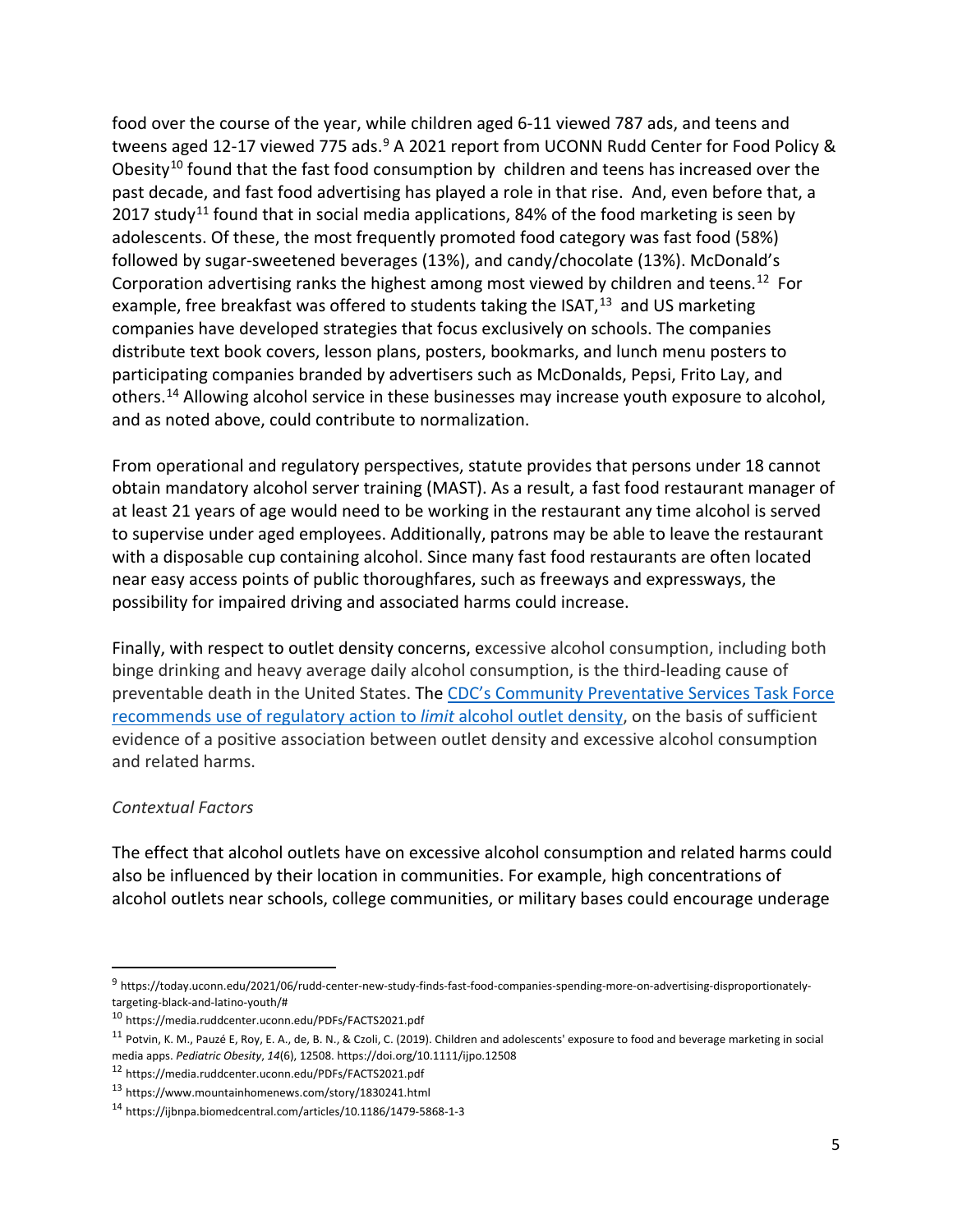food over the course of the year, while children aged 6-11 viewed 787 ads, and teens and tweens aged 12-17 viewed 775 ads.<sup>[9](#page-5-0)</sup> A 2021 report from UCONN Rudd Center for Food Policy & Obesity<sup>[10](#page-5-1)</sup> found that the fast food consumption by children and teens has increased over the past decade, and fast food advertising has played a role in that rise. And, even before that, a 2017 study<sup>[11](#page-5-2)</sup> found that in social media applications, 84% of the food marketing is seen by adolescents. Of these, the most frequently promoted food category was fast food (58%) followed by sugar-sweetened beverages (13%), and candy/chocolate (13%). McDonald's Corporation advertising ranks the highest among most viewed by children and teens.<sup>[12](#page-5-3)</sup> For example, free breakfast was offered to students taking the ISAT, $^{13}$  $^{13}$  $^{13}$  and US marketing companies have developed strategies that focus exclusively on schools. The companies distribute text book covers, lesson plans, posters, bookmarks, and lunch menu posters to participating companies branded by advertisers such as McDonalds, Pepsi, Frito Lay, and others.[14](#page-5-5) Allowing alcohol service in these businesses may increase youth exposure to alcohol, and as noted above, could contribute to normalization.

From operational and regulatory perspectives, statute provides that persons under 18 cannot obtain mandatory alcohol server training (MAST). As a result, a fast food restaurant manager of at least 21 years of age would need to be working in the restaurant any time alcohol is served to supervise under aged employees. Additionally, patrons may be able to leave the restaurant with a disposable cup containing alcohol. Since many fast food restaurants are often located near easy access points of public thoroughfares, such as freeways and expressways, the possibility for impaired driving and associated harms could increase.

Finally, with respect to outlet density concerns, excessive alcohol consumption, including both binge drinking and heavy average daily alcohol consumption, is the third-leading cause of preventable death in the United States. The [CDC's Community Preventative Services Task Force](https://www.thecommunityguide.org/content/regulating-alcohol-outlet-density-prevents-excessive-alcohol-use)  [recommends use of regulatory action to](https://www.thecommunityguide.org/content/regulating-alcohol-outlet-density-prevents-excessive-alcohol-use) *limit* alcohol outlet density, on the basis of sufficient evidence of a positive association between outlet density and excessive alcohol consumption and related harms.

#### *Contextual Factors*

The effect that alcohol outlets have on excessive alcohol consumption and related harms could also be influenced by their location in communities. For example, high concentrations of alcohol outlets near schools, college communities, or military bases could encourage underage

<span id="page-5-0"></span> <sup>9</sup> https://today.uconn.edu/2021/06/rudd-center-new-study-finds-fast-food-companies-spending-more-on-advertising-disproportionatelytargeting-black-and-latino-youth/#

<span id="page-5-1"></span><sup>10</sup> https://media.ruddcenter.uconn.edu/PDFs/FACTS2021.pdf

<span id="page-5-2"></span><sup>11</sup> Potvin, K. M., Pauzé E, Roy, E. A., de, B. N., & Czoli, C. (2019). Children and adolescents' exposure to food and beverage marketing in social media apps. *Pediatric Obesity*, *14*(6), 12508. https://doi.org/10.1111/ijpo.12508

<span id="page-5-3"></span><sup>12</sup> https://media.ruddcenter.uconn.edu/PDFs/FACTS2021.pdf

<span id="page-5-4"></span><sup>13</sup> https://www.mountainhomenews.com/story/1830241.html

<span id="page-5-5"></span><sup>14</sup> https://ijbnpa.biomedcentral.com/articles/10.1186/1479-5868-1-3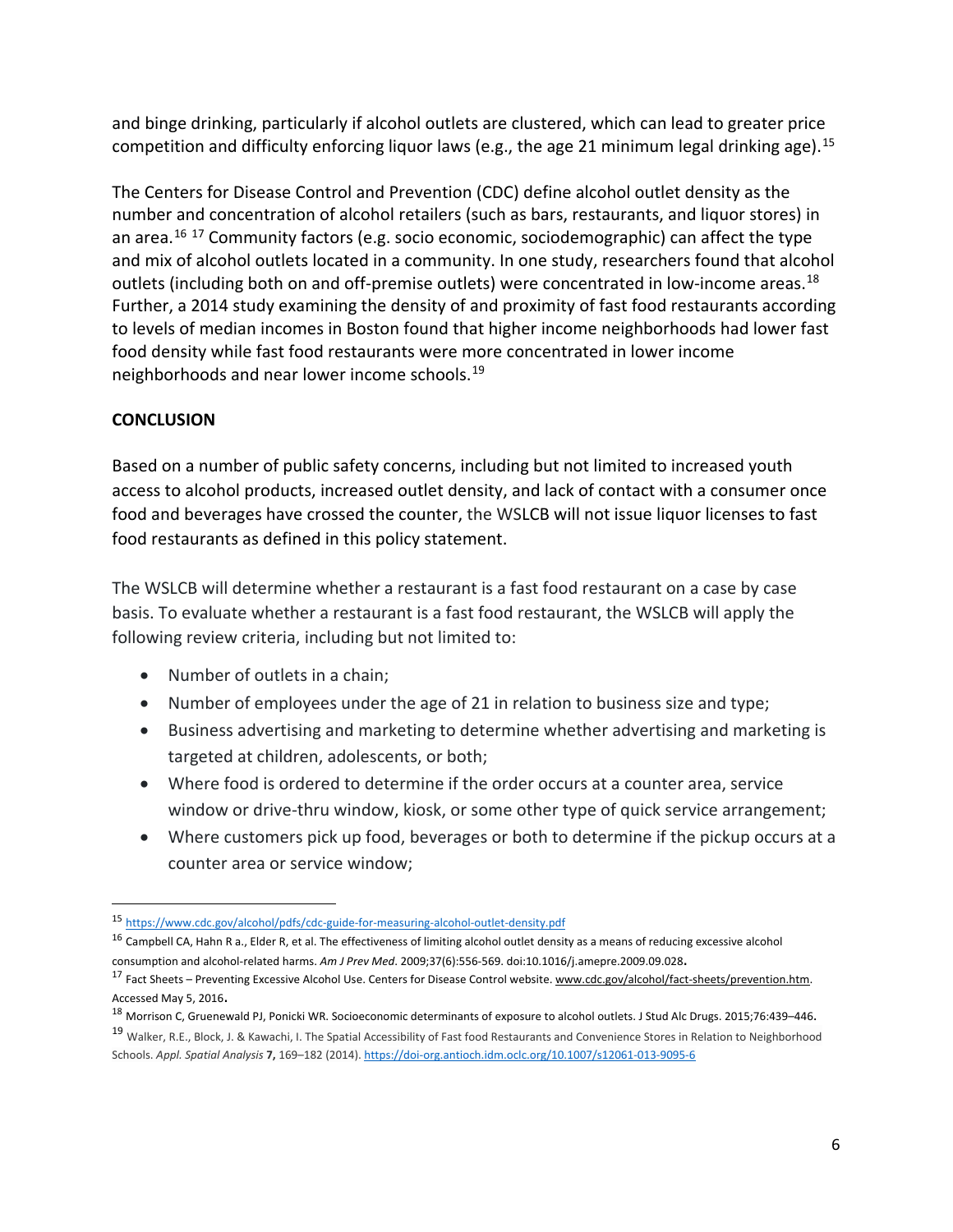and binge drinking, particularly if alcohol outlets are clustered, which can lead to greater price competition and difficulty enforcing liquor laws (e.g., the age 21 minimum legal drinking age).<sup>[15](#page-6-0)</sup>

The Centers for Disease Control and Prevention (CDC) define alcohol outlet density as the number and concentration of alcohol retailers (such as bars, restaurants, and liquor stores) in an area.<sup>[16](#page-6-1) [17](#page-6-2)</sup> Community factors (e.g. socio economic, sociodemographic) can affect the type and mix of alcohol outlets located in a community. In one study, researchers found that alcohol outlets (including both on and off-premise outlets) were concentrated in low-income areas.<sup>18</sup> Further, a 2014 study examining the density of and proximity of fast food restaurants according to levels of median incomes in Boston found that higher income neighborhoods had lower fast food density while fast food restaurants were more concentrated in lower income neighborhoods and near lower income schools.<sup>[19](#page-6-4)</sup>

### **CONCLUSION**

Based on a number of public safety concerns, including but not limited to increased youth access to alcohol products, increased outlet density, and lack of contact with a consumer once food and beverages have crossed the counter, the WSLCB will not issue liquor licenses to fast food restaurants as defined in this policy statement.

The WSLCB will determine whether a restaurant is a fast food restaurant on a case by case basis. To evaluate whether a restaurant is a fast food restaurant, the WSLCB will apply the following review criteria, including but not limited to:

- Number of outlets in a chain;
- Number of employees under the age of 21 in relation to business size and type;
- Business advertising and marketing to determine whether advertising and marketing is targeted at children, adolescents, or both;
- Where food is ordered to determine if the order occurs at a counter area, service window or drive-thru window, kiosk, or some other type of quick service arrangement;
- Where customers pick up food, beverages or both to determine if the pickup occurs at a counter area or service window;

<span id="page-6-0"></span> <sup>15</sup> <https://www.cdc.gov/alcohol/pdfs/cdc-guide-for-measuring-alcohol-outlet-density.pdf>

<span id="page-6-1"></span><sup>&</sup>lt;sup>16</sup> Campbell CA, Hahn R a., Elder R, et al. The effectiveness of limiting alcohol outlet density as a means of reducing excessive alcohol consumption and alcohol-related harms. *Am J Prev Med*. 2009;37(6):556-569. doi:10.1016/j.amepre.2009.09.028.

<span id="page-6-2"></span><sup>&</sup>lt;sup>17</sup> Fact Sheets – Preventing Excessive Alcohol Use. Centers for Disease Control website. www.cdc.gov/alcohol/fact-sheets/prevention.htm. Accessed May 5, 2016.

<span id="page-6-3"></span><sup>18</sup> Morrison C, Gruenewald PJ, Ponicki WR. Socioeconomic determinants of exposure to alcohol outlets. J Stud Alc Drugs. 2015;76:439–446.

<span id="page-6-4"></span><sup>19</sup> Walker, R.E., Block, J. & Kawachi, I. The Spatial Accessibility of Fast food Restaurants and Convenience Stores in Relation to Neighborhood Schools. *Appl. Spatial Analysis* **7,** 169–182 (2014)[. https://doi-org.antioch.idm.oclc.org/10.1007/s12061-013-9095-6](https://gcc02.safelinks.protection.outlook.com/?url=https%3A%2F%2Fdoi-org.antioch.idm.oclc.org%2F10.1007%2Fs12061-013-9095-6&data=04%7C01%7Ckatherine.hoffman%40lcb.wa.gov%7C65b638a7559c4b43c71c08d97fc39137%7C11d0e217264e400a8ba057dcc127d72d%7C0%7C0%7C637681300492113246%7CUnknown%7CTWFpbGZsb3d8eyJWIjoiMC4wLjAwMDAiLCJQIjoiV2luMzIiLCJBTiI6Ik1haWwiLCJXVCI6Mn0%3D%7C1000&sdata=6kXqzUt3Gr%2Fw9aMhTJdpiKC4RoGsNTnZCCOWKwz1JTk%3D&reserved=0)